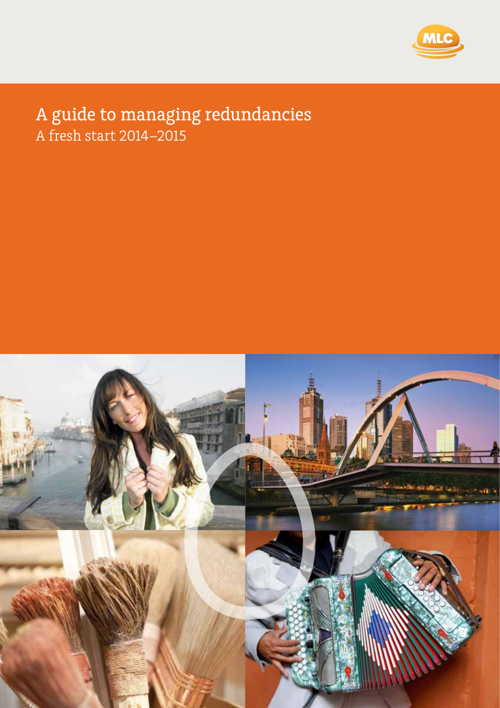

#### A guide to ma A fresh start 2014–2015 redundancies guide to managing redundancies A fresh start 2014–2015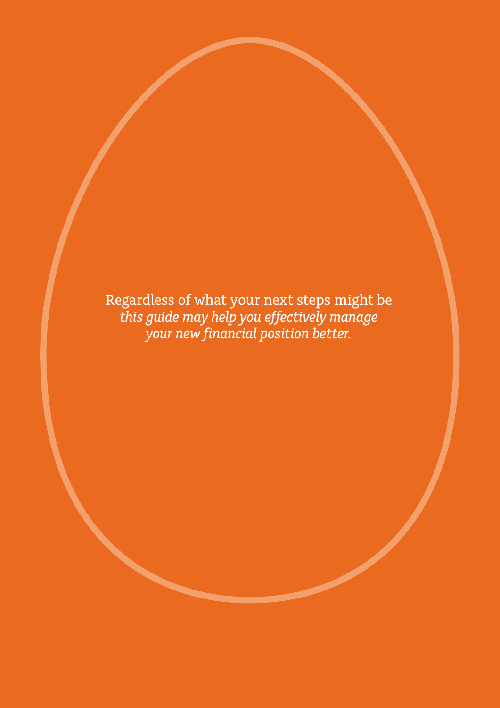Regardless of what your next steps might be *this guide may help you effectively manage your new financial position better.*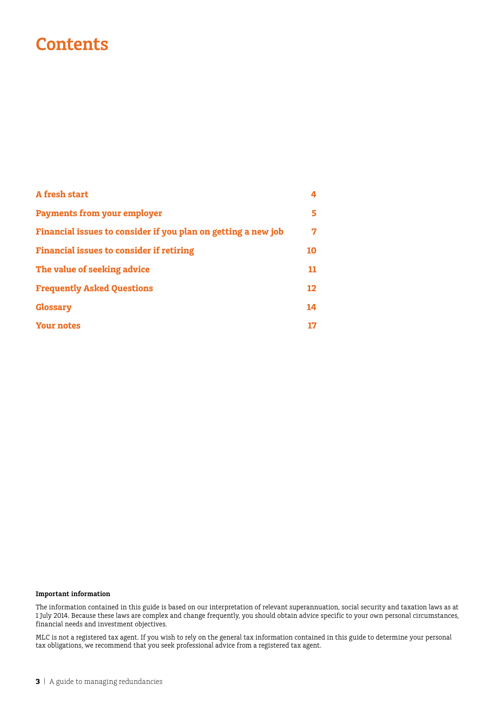### **Contents**

| A fresh start                                                 | 4       |
|---------------------------------------------------------------|---------|
| <b>Payments from your employer</b>                            | 5.      |
| Financial issues to consider if you plan on getting a new job | 7       |
| <b>Financial issues to consider if retiring</b>               | 10      |
| The value of seeking advice                                   | 11      |
| <b>Frequently Asked Questions</b>                             | $12 \,$ |
| <b>Glossary</b>                                               | 14      |
| <b>Your notes</b>                                             | 17      |

#### **Important information**

The information contained in this guide is based on our interpretation of relevant superannuation, social security and taxation laws as at 1 July 2014. Because these laws are complex and change frequently, you should obtain advice specific to your own personal circumstances, financial needs and investment objectives.

MLC is not a registered tax agent. If you wish to rely on the general tax information contained in this guide to determine your personal tax obligations, we recommend that you seek professional advice from a registered tax agent.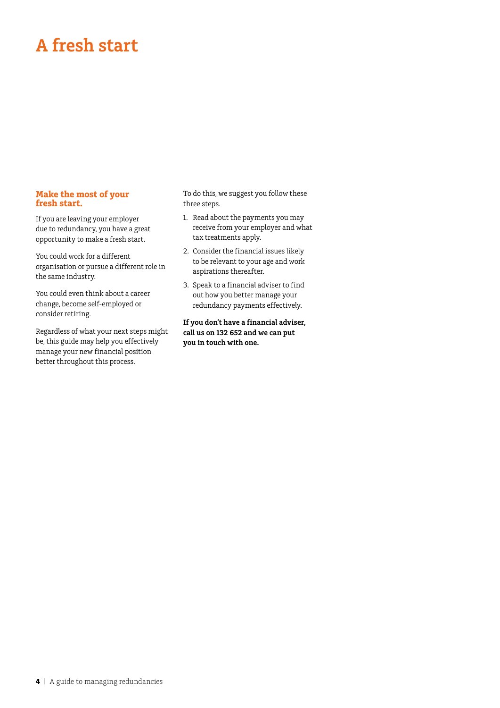## **A fresh start**

#### **Make the most of your fresh start.**

If you are leaving your employer due to redundancy, you have a great opportunity to make a fresh start.

You could work for a different organisation or pursue a different role in the same industry.

You could even think about a career change, become self-employed or consider retiring.

Regardless of what your next steps might be, this guide may help you effectively manage your new financial position better throughout this process.

To do this, we suggest you follow these three steps.

- 1. Read about the payments you may receive from your employer and what tax treatments apply.
- 2. Consider the financial issues likely to be relevant to your age and work aspirations thereafter.
- 3. Speak to a financial adviser to find out how you better manage your redundancy payments effectively.

**If you don't have a financial adviser, call us on 132 652 and we can put you in touch with one.**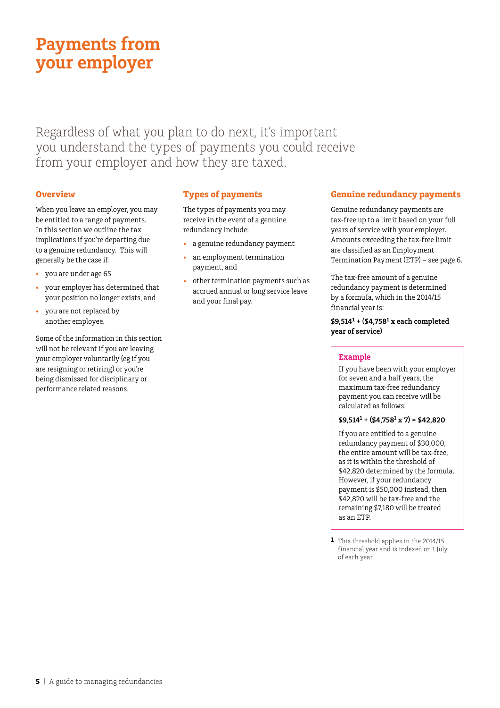## **Payments from your employer**

Regardless of what you plan to do next, it's important you understand the types of payments you could receive from your employer and how they are taxed.

#### **Overview**

When you leave an employer, you may be entitled to a range of payments. In this section we outline the tax implications if you're departing due to a genuine redundancy. This will generally be the case if:

- vou are under age 65
- • your employer has determined that your position no longer exists, and
- you are not replaced by another employee.

Some of the information in this section will not be relevant if you are leaving your employer voluntarily (eg if you are resigning or retiring) or you're being dismissed for disciplinary or performance related reasons.

#### **Types of payments**

The types of payments you may receive in the event of a genuine redundancy include:

- a genuine redundancy payment
- an employment termination payment, and
- other termination payments such as accrued annual or long service leave and your final pay.

#### **Genuine redundancy payments**

Genuine redundancy payments are tax-free up to a limit based on your full years of service with your employer. Amounts exceeding the tax-free limit are classified as an Employment Termination Payment (ETP) – see page 6.

The tax-free amount of a genuine redundancy payment is determined by a formuIa, which in the 2014/15 financial year is:

**\$9,514<sup>1</sup> + (\$4,758<sup>1</sup> x each completed year of service)**

#### **Example**

If you have been with your employer for seven and a half years, the maximum tax-free redundancy payment you can receive will be calculated as follows:

#### **\$9,5141 + (\$4,7581 x 7) = \$42,820**

If you are entitled to a genuine redundancy payment of \$30,000, the entire amount will be tax-free, as it is within the threshold of \$42,820 determined by the formula. However, if your redundancy payment is \$50,000 instead, then \$42,820 will be tax-free and the remaining \$7,180 will be treated as an ETP.

**<sup>1</sup>** This threshold applies in the 2014/15 financial year and is indexed on 1 July of each year.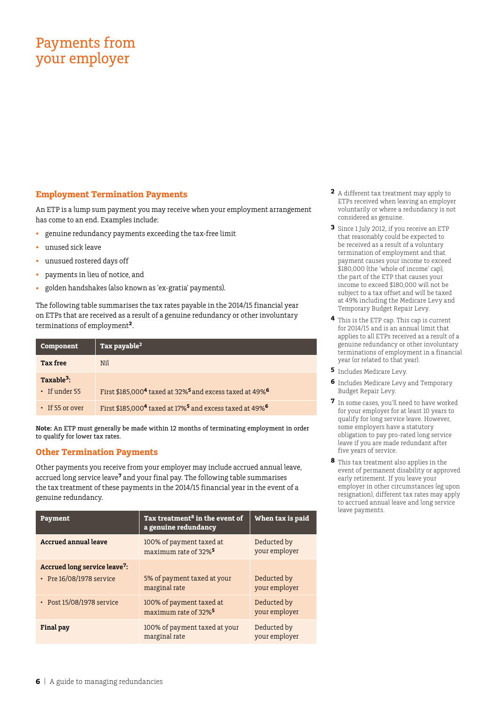### Payments from your employer

#### **Employment Termination Payments**

An ETP is a lump sum payment you may receive when your employment arrangement has come to an end. Examples include:

- genuine redundancy payments exceeding the tax-free limit
- unused sick leave
- • unusued rostered days off
- • payments in lieu of notice, and
- golden handshakes (also known as 'ex-gratia' payments).

The following table summarises the tax rates payable in the 2014/15 financial year on ETPs that are received as a result of a genuine redundancy or other involuntary terminations of employment**2**.

| Component              | Tax payable $^2$                                                                            |
|------------------------|---------------------------------------------------------------------------------------------|
| <b>Tax free</b>        | Nil                                                                                         |
| Taxable <sup>3</sup> : |                                                                                             |
| · If under 55          | First \$185,000 <sup>4</sup> taxed at 32% <sup>5</sup> and excess taxed at 49% <sup>6</sup> |
| $\cdot$ If 55 or over  | First \$185,000 <sup>4</sup> taxed at 17% <sup>5</sup> and excess taxed at 49% <sup>6</sup> |

**Note:** An ETP must generally be made within 12 months of terminating employment in order to qualify for lower tax rates.

#### **Other Termination Payments**

Other payments you receive from your employer may include accrued annual leave, accrued long service leave**7** and your final pay. The following table summarises the tax treatment of these payments in the 2014/15 financial year in the event of a genuine redundancy.

| Payment                                                                     | Tax treatment <sup>8</sup> in the event of<br>a genuine redundancy | When tax is paid             |
|-----------------------------------------------------------------------------|--------------------------------------------------------------------|------------------------------|
| <b>Accrued annual leave</b>                                                 | 100% of payment taxed at<br>maximum rate of 32% <sup>5</sup>       | Deducted by<br>your employer |
| Accrued long service leave <sup>7</sup> :<br>$\cdot$ Pre 16/08/1978 service | 5% of payment taxed at your<br>marginal rate                       | Deducted by<br>your employer |
| • Post 15/08/1978 service                                                   | 100% of payment taxed at<br>maximum rate of 32% <sup>5</sup>       | Deducted by<br>your employer |
| Final pay                                                                   | 100% of payment taxed at your<br>marginal rate                     | Deducted by<br>your employer |

- **2** A different tax treatment may apply to ETPs received when leaving an employer voluntarily or where a redundancy is not considered as genuine.
- **3** Since 1 July 2012, if you receive an ETP that reasonably could be expected to be received as a result of a voluntary termination of employment and that payment causes your income to exceed \$180,000 (the 'whole of income' cap), the part of the ETP that causes your income to exceed \$180,000 will not be subject to a tax offset and will be taxed at 49% including the Medicare Levy and Temporary Budget Repair Levy.
- **4** This is the ETP cap. This cap is current for 2014/15 and is an annual limit that applies to all ETPs received as a result of a genuine redundancy or other involuntary terminations of employment in a financial year (or related to that year).
- **5** Includes Medicare Levy.
- **6** Includes Medicare Levy and Temporary Budget Repair Levy.
- **7** In some cases, you'll need to have worked for your employer for at least 10 years to qualify for long service leave. However, some employers have a statutory obligation to pay pro-rated long service leave if you are made redundant after five years of service.
- **8** This tax treatment also applies in the event of permanent disability or approved early retirement. If you leave your employer in other circumstances (eg upon resignation), different tax rates may apply to accrued annual leave and long service leave payments.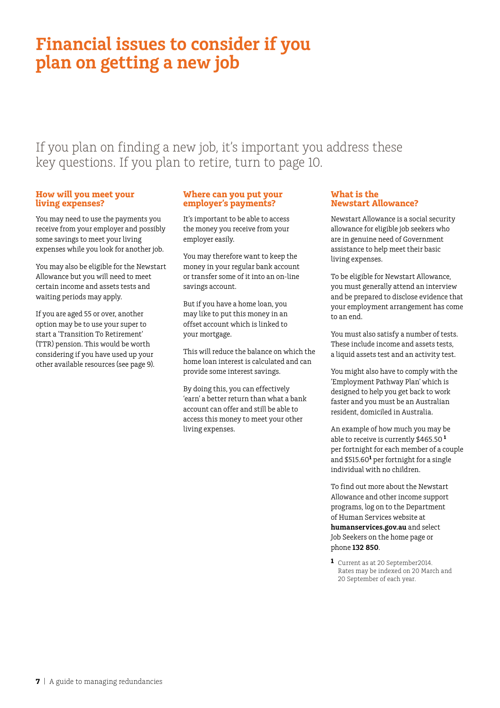### **Financial issues to consider if you plan on getting a new job**

If you plan on finding a new job, it's important you address these key questions. If you plan to retire, turn to page 10.

#### **How will you meet your living expenses?**

You may need to use the payments you receive from your employer and possibly some savings to meet your living expenses while you look for another job.

You may also be eligible for the Newstart Allowance but you will need to meet certain income and assets tests and waiting periods may apply.

If you are aged 55 or over, another option may be to use your super to start a 'Transition To Retirement' (TTR) pension. This would be worth considering if you have used up your other available resources (see page 9).

#### **Where can you put your employer's payments?**

It's important to be able to access the money you receive from your employer easily.

You may therefore want to keep the money in your regular bank account or transfer some of it into an on-line savings account.

But if you have a home loan, you may like to put this money in an offset account which is linked to your mortgage.

This will reduce the balance on which the home loan interest is calculated and can provide some interest savings.

By doing this, you can effectively 'earn' a better return than what a bank account can offer and still be able to access this money to meet your other living expenses.

#### **What is the Newstart Allowance?**

Newstart Allowance is a social security allowance for eligible job seekers who are in genuine need of Government assistance to help meet their basic living expenses.

To be eligible for Newstart Allowance, you must generally attend an interview and be prepared to disclose evidence that your employment arrangement has come to an end.

You must also satisfy a number of tests. These include income and assets tests, a liquid assets test and an activity test.

You might also have to comply with the 'Employment Pathway Plan' which is designed to help you get back to work faster and you must be an Australian resident, domiciled in Australia.

An example of how much you may be able to receive is currently \$465.50 **<sup>1</sup>** per fortnight for each member of a couple and \$515.60<sup>1</sup> per fortnight for a single individual with no children.

To find out more about the Newstart Allowance and other income support programs, log on to the Department of Human Services website at **humanservices.gov.au** and select Job Seekers on the home page or phone **132 850**.

**1** Current as at 20 September2014. Rates may be indexed on 20 March and 20 September of each year.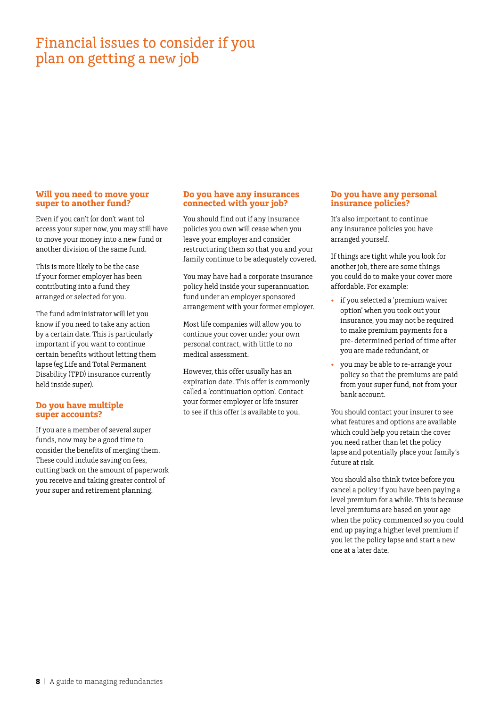### Financial issues to consider if you plan on getting a new job

#### **Will you need to move your super to another fund?**

Even if you can't (or don't want to) access your super now, you may still have to move your money into a new fund or another division of the same fund.

This is more likely to be the case if your former employer has been contributing into a fund they arranged or selected for you.

The fund administrator will let you know if you need to take any action by a certain date. This is particularly important if you want to continue certain benefits without letting them lapse (eg Life and Total Permanent Disability (TPD) insurance currently held inside super).

#### **Do you have multiple super accounts?**

If you are a member of several super funds, now may be a good time to consider the benefits of merging them. These could include saving on fees, cutting back on the amount of paperwork you receive and taking greater control of your super and retirement planning.

#### **Do you have any insurances connected with your job?**

You should find out if any insurance policies you own will cease when you leave your employer and consider restructuring them so that you and your family continue to be adequately covered.

You may have had a corporate insurance policy held inside your superannuation fund under an employer sponsored arrangement with your former employer.

Most life companies will allow you to continue your cover under your own personal contract, with little to no medical assessment.

However, this offer usually has an expiration date. This offer is commonly called a 'continuation option'. Contact your former employer or life insurer to see if this offer is available to you.

#### **Do you have any personal insurance policies?**

It's also important to continue any insurance policies you have arranged yourself.

If things are tight while you look for another job, there are some things you could do to make your cover more affordable. For example:

- if you selected a 'premium waiver option' when you took out your insurance, you may not be required to make premium payments for a pre- determined period of time after you are made redundant, or
- you may be able to re-arrange your policy so that the premiums are paid from your super fund, not from your bank account.

You should contact your insurer to see what features and options are available which could help you retain the cover you need rather than let the policy lapse and potentially place your family's future at risk.

You should also think twice before you cancel a policy if you have been paying a level premium for a while. This is because level premiums are based on your age when the policy commenced so you could end up paying a higher level premium if you let the policy lapse and start a new one at a later date.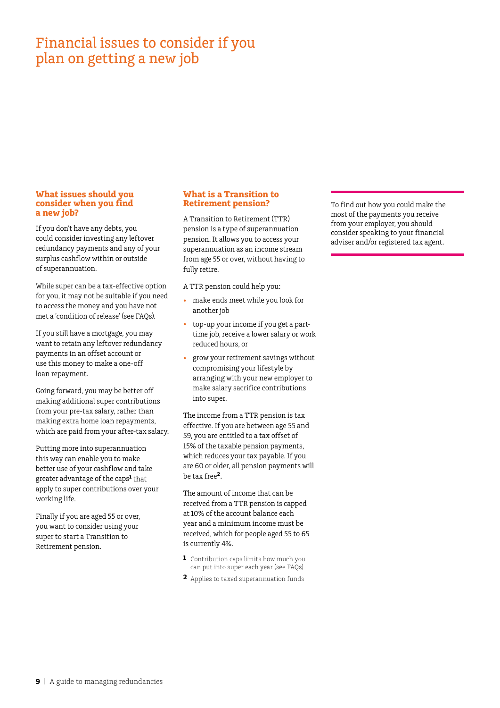### Financial issues to consider if you plan on getting a new job

#### **What issues should you consider when you find a new job?**

If you don't have any debts, you could consider investing any leftover redundancy payments and any of your surplus cashflow within or outside of superannuation.

While super can be a tax-effective option for you, it may not be suitable if you need to access the money and you have not met a 'condition of release' (see FAQs).

If you still have a mortgage, you may want to retain any leftover redundancy payments in an offset account or use this money to make a one-off loan repayment.

Going forward, you may be better off making additional super contributions from your pre-tax salary, rather than making extra home loan repayments, which are paid from your after-tax salary.

Putting more into superannuation this way can enable you to make better use of your cashflow and take greater advantage of the caps**<sup>1</sup>** that apply to super contributions over your working life.

Finally if you are aged 55 or over, you want to consider using your super to start a Transition to Retirement pension.

#### **What is a Transition to Retirement pension?**

A Transition to Retirement (TTR) pension is a type of superannuation pension. It allows you to access your superannuation as an income stream from age 55 or over, without having to fully retire.

A TTR pension could help you:

- make ends meet while you look for another job
- top-up your income if you get a parttime job, receive a lower salary or work reduced hours, or
- grow your retirement savings without compromising your lifestyle by arranging with your new employer to make salary sacrifice contributions into super.

The income from a TTR pension is tax effective. If you are between age 55 and 59, you are entitled to a tax offset of 15% of the taxable pension payments, which reduces your tax payable. If you are 60 or older, all pension payments will be tax free**2**.

The amount of income that can be received from a TTR pension is capped at 10% of the account balance each year and a minimum income must be received, which for people aged 55 to 65 is currently 4%.

- **1** Contribution caps limits how much you can put into super each year (see FAQs).
- **2** Applies to taxed superannuation funds

To find out how you could make the most of the payments you receive from your employer, you should consider speaking to your financial adviser and/or registered tax agent.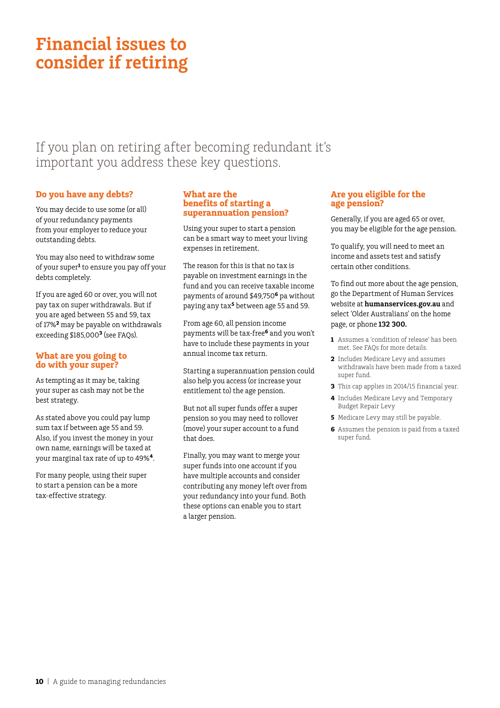### **Financial issues to consider if retiring**

If you plan on retiring after becoming redundant it's important you address these key questions.

#### **Do you have any debts?**

You may decide to use some (or all) of your redundancy payments from your employer to reduce your outstanding debts.

You may also need to withdraw some of your super**<sup>1</sup>** to ensure you pay off your debts completely.

If you are aged 60 or over, you will not pay tax on super withdrawals. But if you are aged between 55 and 59, tax of 17%**2** may be payable on withdrawals exceeding \$185,000**3** (see FAQs).

#### **What are you going to do with your super?**

As tempting as it may be, taking your super as cash may not be the best strategy.

As stated above you could pay lump sum tax if between age 55 and 59. Also, if you invest the money in your own name, earnings will be taxed at your marginal tax rate of up to 49%**4**.

For many people, using their super to start a pension can be a more tax-effective strategy.

#### **What are the benefits of starting a superannuation pension?**

Using your super to start a pension can be a smart way to meet your living expenses in retirement.

The reason for this is that no tax is payable on investment earnings in the fund and you can receive taxable income payments of around \$49,750**6** pa without paying any tax**5** between age 55 and 59.

From age 60, all pension income payments will be tax-free**6** and you won't have to include these payments in your annual income tax return.

Starting a superannuation pension could also help you access (or increase your entitlement to) the age pension.

But not all super funds offer a super pension so you may need to rollover (move) your super account to a fund that does.

Finally, you may want to merge your super funds into one account if you have multiple accounts and consider contributing any money left over from your redundancy into your fund. Both these options can enable you to start a larger pension.

#### **Are you eligible for the age pension?**

Generally, if you are aged 65 or over, you may be eligible for the age pension.

To qualify, you will need to meet an income and assets test and satisfy certain other conditions.

To find out more about the age pension, go the Department of Human Services website at **humanservices.gov.au** and select 'Older Australians' on the home page, or phone **132 300.**

- **1** Assumes a 'condition of release' has been met. See FAQs for more details.
- **2** Includes Medicare Levy and assumes withdrawals have been made from a taxed super fund.
- **3** This cap applies in 2014/15 financial year.
- **4** Includes Medicare Levy and Temporary Budget Repair Levy
- **5** Medicare Levy may still be payable.
- **6** Assumes the pension is paid from a taxed super fund.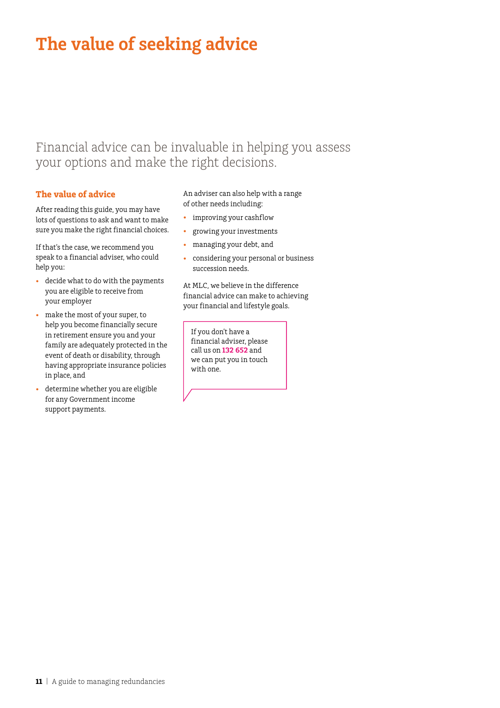## **The value of seeking advice**

### Financial advice can be invaluable in helping you assess your options and make the right decisions.

#### **The value of advice**

After reading this guide, you may have lots of questions to ask and want to make sure you make the right financial choices.

If that's the case, we recommend you speak to a financial adviser, who could help you:

- • decide what to do with the payments you are eligible to receive from your employer
- make the most of your super, to help you become financially secure in retirement ensure you and your family are adequately protected in the event of death or disability, through having appropriate insurance policies in place, and
- determine whether you are eligible for any Government income support payments.

An adviser can also help with a range of other needs including:

- • improving your cashflow
- • growing your investments
- • managing your debt, and
- • considering your personal or business succession needs.

At MLC, we believe in the difference financial advice can make to achieving your financial and lifestyle goals.

If you don't have a financial adviser, please call us on **132 652** and we can put you in touch with one.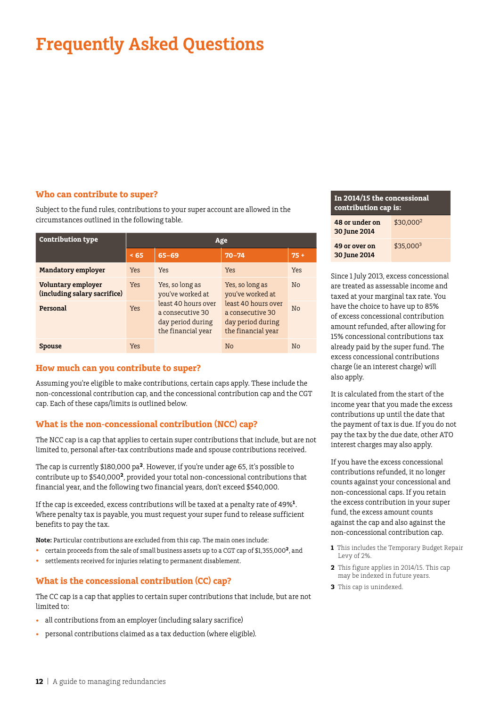## **Frequently Asked Questions**

#### **Who can contribute to super?**

Subject to the fund rules, contributions to your super account are allowed in the circumstances outlined in the following table.

| <b>Contribution type</b>                           | Age                                        |                                                                                    |                                                                                    |                |
|----------------------------------------------------|--------------------------------------------|------------------------------------------------------------------------------------|------------------------------------------------------------------------------------|----------------|
|                                                    | < 65                                       | $65 - 69$                                                                          | $70 - 74$                                                                          | $75+$          |
| <b>Mandatory employer</b>                          | Yes                                        | Yes                                                                                | Yes                                                                                | Yes            |
| Voluntary employer<br>(including salary sacrifice) | Yes, so long as<br>Yes<br>you've worked at | Yes, so long as<br>you've worked at                                                | N <sub>o</sub>                                                                     |                |
| Personal                                           | Yes                                        | least 40 hours over<br>a consecutive 30<br>day period during<br>the financial year | least 40 hours over<br>a consecutive 30<br>day period during<br>the financial year | N <sub>0</sub> |
| <b>Spouse</b>                                      | Yes                                        |                                                                                    | No                                                                                 | N <sub>o</sub> |

#### **How much can you contribute to super?**

Assuming you're eligible to make contributions, certain caps apply. These include the non-concessional contribution cap, and the concessional contribution cap and the CGT cap. Each of these caps/limits is outlined below.

#### **What is the non‑concessional contribution (NCC) cap?**

The NCC cap is a cap that applies to certain super contributions that include, but are not limited to, personal after-tax contributions made and spouse contributions received.

The cap is currently \$180,000 pa**2**. However, if you're under age 65, it's possible to contribute up to \$540,000**2**, provided your total non-concessional contributions that financial year, and the following two financial years, don't exceed \$540,000.

If the cap is exceeded, excess contributions will be taxed at a penalty rate of 49%**<sup>1</sup>**. Where penalty tax is payable, you must request your super fund to release sufficient benefits to pay the tax.

**Note:** Particular contributions are excluded from this cap. The main ones include:

- • certain proceeds from the sale of small business assets up to a CGT cap of \$1,355,000**<sup>2</sup>**, and
- • settlements received for injuries relating to permanent disablement.

#### **What is the concessional contribution (CC) cap?**

The CC cap is a cap that applies to certain super contributions that include, but are not limited to:

- all contributions from an employer (including salary sacrifice)
- personal contributions claimed as a tax deduction (where eligible).

#### **In 2014/15 the concessional contribution cap is:**

| 48 or under on<br>30 June 2014 | \$30.000 <sup>2</sup> |
|--------------------------------|-----------------------|
| 49 or over on<br>30 June 2014  | \$35.000 <sup>3</sup> |

Since 1 July 2013, excess concessional are treated as assessable income and taxed at your marginal tax rate. You have the choice to have up to 85% of excess concessional contribution amount refunded, after allowing for 15% concessional contributions tax already paid by the super fund. The excess concessional contributions charge (ie an interest charge) will also apply.

It is calculated from the start of the income year that you made the excess contributions up until the date that the payment of tax is due. If you do not pay the tax by the due date, other ATO interest charges may also apply.

If you have the excess concessional contributions refunded, it no longer counts against your concessional and non-concessional caps. If you retain the excess contribution in your super fund, the excess amount counts against the cap and also against the non-concessional contribution cap.

- **1** This includes the Temporary Budget Repair Levy of 2%.
- **2** This figure applies in 2014/15. This cap may be indexed in future years.
- **3** This cap is unindexed.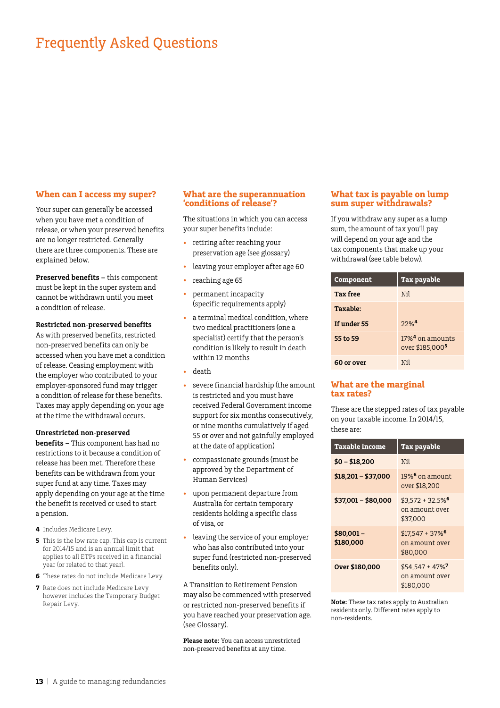### Frequently Asked Questions

#### **When can I access my super?**

Your super can generally be accessed when you have met a condition of release, or when your preserved benefits are no longer restricted. Generally there are three components. These are explained below.

**Preserved benefits –** this component must be kept in the super system and cannot be withdrawn until you meet a condition of release.

#### **Restricted non-preserved benefits**

As with preserved benefits, restricted non-preserved benefits can only be accessed when you have met a condition of release. Ceasing employment with the employer who contributed to your employer-sponsored fund may trigger a condition of release for these benefits. Taxes may apply depending on your age at the time the withdrawal occurs.

#### **Unrestricted non-preserved**

**benefits –** This component has had no restrictions to it because a condition of release has been met. Therefore these benefits can be withdrawn from your super fund at any time. Taxes may apply depending on your age at the time the benefit is received or used to start a pension.

- **4** Includes Medicare Levy.
- **5** This is the low rate cap. This cap is current for 2014/15 and is an annual limit that applies to all ETPs received in a financial year (or related to that year).
- **6** These rates do not include Medicare Levy.
- **7** Rate does not include Medicare Levy however includes the Temporary Budget Repair Levy.

#### **What are the superannuation 'conditions of release'?**

The situations in which you can access your super benefits include:

- retiring after reaching your preservation age (see glossary)
- leaving your employer after age 60
- reaching age 65
- permanent incapacity (specific requirements apply)
- • a terminal medical condition, where two medical practitioners (one a specialist) certify that the person's condition is likely to result in death within 12 months
- • death
- severe financial hardship (the amount is restricted and you must have received Federal Government income support for six months consecutively, or nine months cumulatively if aged 55 or over and not gainfully employed at the date of application)
- compassionate grounds (must be approved by the Department of Human Services)
- upon permanent departure from Australia for certain temporary residents holding a specific class of visa, or
- leaving the service of your employer who has also contributed into your super fund (restricted non-preserved benefits only).

A Transition to Retirement Pension may also be commenced with preserved or restricted non-preserved benefits if you have reached your preservation age. (see Glossary).

**Please note:** You can access unrestricted non-preserved benefits at any time.

#### **What tax is payable on lump sum super withdrawals?**

If you withdraw any super as a lump sum, the amount of tax you'll pay will depend on your age and the tax components that make up your withdrawal (see table below).

| Component       | <b>Tax payable</b>                                            |
|-----------------|---------------------------------------------------------------|
| <b>Tax free</b> | Nil                                                           |
| Taxable:        |                                                               |
| If under 55     | $22%$ <sup>4</sup>                                            |
| 55 to 59        | $17\%$ <sup>4</sup> on amounts<br>over \$185,000 <sup>5</sup> |
| 60 or over      | Nil                                                           |

#### **What are the marginal tax rates?**

These are the stepped rates of tax payable on your taxable income. In 2014/15, these are:

| <b>Taxable income</b>   | <b>Tax payable</b>                                           |
|-------------------------|--------------------------------------------------------------|
| $$0 - $18,200$          | Nil                                                          |
| $$18,201 - $37,000$     | $19\%$ <sup>6</sup> on amount<br>over \$18,200               |
| $$37,001 - $80,000$     | $$3,572 + 32.5\%$ <sup>6</sup><br>on amount over<br>\$37,000 |
| $$80,001-$<br>\$180,000 | $$17.547 + 37\%$ <sup>6</sup><br>on amount over<br>\$80,000  |
| Over \$180,000          | $$54.547 + 47\%$ <sup>7</sup><br>on amount over<br>\$180.000 |

**Note:** These tax rates apply to Australian residents only. Different rates apply to non-residents.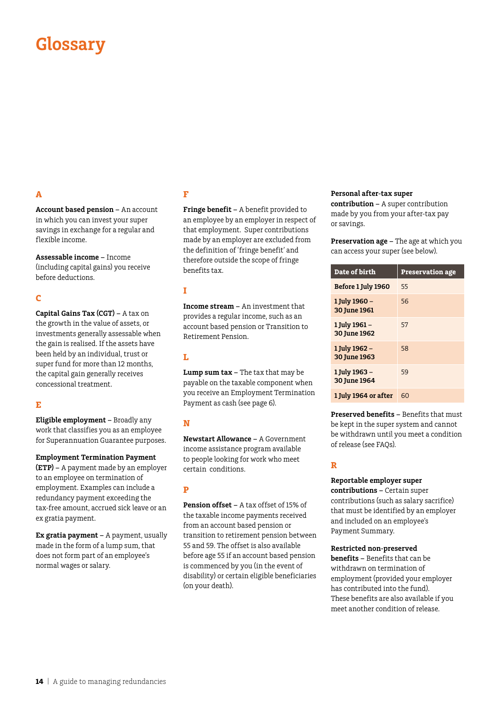## **Glossary**

#### **A**

**Account based pension –** An account in which you can invest your super savings in exchange for a regular and flexible income.

**Assessable income –** Income (including capital gains) you receive before deductions.

#### **C**

**Capital Gains Tax (CGT) –** A tax on the growth in the value of assets, or investments generally assessable when the gain is realised. If the assets have been held by an individual, trust or super fund for more than 12 months, the capital gain generally receives concessional treatment.

#### **E**

**Eligible employment –** Broadly any work that classifies you as an employee for Superannuation Guarantee purposes.

**Employment Termination Payment** 

**(ETP) –** A payment made by an employer to an employee on termination of employment. Examples can include a redundancy payment exceeding the tax-free amount, accrued sick leave or an ex gratia payment.

**Ex gratia payment –** A payment, usually made in the form of a lump sum, that does not form part of an employee's normal wages or salary.

#### **F**

**Fringe benefit –** A benefit provided to an employee by an employer in respect of that employment. Super contributions made by an employer are excluded from the definition of 'fringe benefit' and therefore outside the scope of fringe benefits tax.

#### **I**

**Income stream –** An investment that provides a regular income, such as an account based pension or Transition to Retirement Pension.

#### **L**

**Lump sum tax –** The tax that may be payable on the taxable component when you receive an Employment Termination Payment as cash (see page 6).

#### **N**

**Newstart Allowance –** A Government income assistance program available to people looking for work who meet certain conditions.

#### **P**

**Pension offset –** A tax offset of 15% of the taxable income payments received from an account based pension or transition to retirement pension between 55 and 59. The offset is also available before age 55 if an account based pension is commenced by you (in the event of disability) or certain eligible beneficiaries (on your death).

#### **Personal after-tax super**

**contribution –** A super contribution made by you from your after-tax pay or savings.

**Preservation age –** The age at which you can access your super (see below).

| Date of birth                 | <b>Preservation age</b> |
|-------------------------------|-------------------------|
| Before 1 July 1960            | 55                      |
| 1 July 1960 -<br>30 June 1961 | 56                      |
| 1 July 1961 –<br>30 June 1962 | 57                      |
| 1 July 1962 -<br>30 June 1963 | 58                      |
| 1 July 1963 –<br>30 June 1964 | 59                      |
| 1 July 1964 or after          | 60                      |

**Preserved benefits –** Benefits that must be kept in the super system and cannot be withdrawn until you meet a condition of release (see FAQs).

#### **R**

#### **Reportable employer super**

**contributions –** Certain super contributions (such as salary sacrifice) that must be identified by an employer and included on an employee's Payment Summary.

#### **Restricted non-preserved**

**benefits –** Benefits that can be withdrawn on termination of employment (provided your employer has contributed into the fund). These benefits are also available if you meet another condition of release.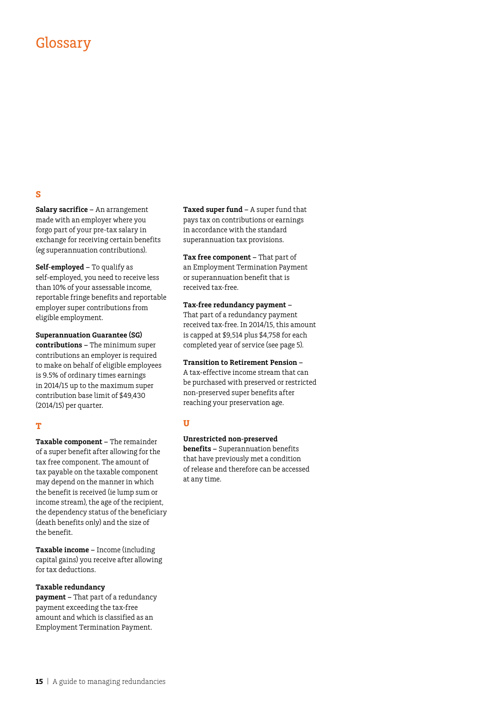### Glossary

#### **S**

**Salary sacrifice –** An arrangement made with an employer where you forgo part of your pre-tax salary in exchange for receiving certain benefits (eg superannuation contributions).

**Self-employed –** To qualify as self-employed, you need to receive less than 10% of your assessable income, reportable fringe benefits and reportable employer super contributions from eligible employment.

**Superannuation Guarantee (SG) contributions –** The minimum super contributions an employer is required to make on behalf of eligible employees is 9.5% of ordinary times earnings in 2014/15 up to the maximum super contribution base limit of \$49,430 (2014/15) per quarter.

#### **T**

**Taxable component –** The remainder of a super benefit after allowing for the tax free component. The amount of tax payable on the taxable component may depend on the manner in which the benefit is received (ie lump sum or income stream), the age of the recipient, the dependency status of the beneficiary (death benefits only) and the size of the benefit.

**Taxable income –** Income (including capital gains) you receive after allowing for tax deductions.

#### **Taxable redundancy**

**payment –** That part of a redundancy payment exceeding the tax-free amount and which is classified as an Employment Termination Payment.

**Taxed super fund –** A super fund that pays tax on contributions or earnings in accordance with the standard superannuation tax provisions.

**Tax free component –** That part of an Employment Termination Payment or superannuation benefit that is received tax-free.

**Tax-free redundancy payment –**  That part of a redundancy payment received tax-free. In 2014/15, this amount is capped at \$9,514 plus \$4,758 for each completed year of service (see page 5).

**Transition to Retirement Pension –**  A tax-effective income stream that can

be purchased with preserved or restricted non-preserved super benefits after reaching your preservation age.

#### **U**

**Unrestricted non-preserved** 

**benefits –** Superannuation benefits that have previously met a condition of release and therefore can be accessed at any time.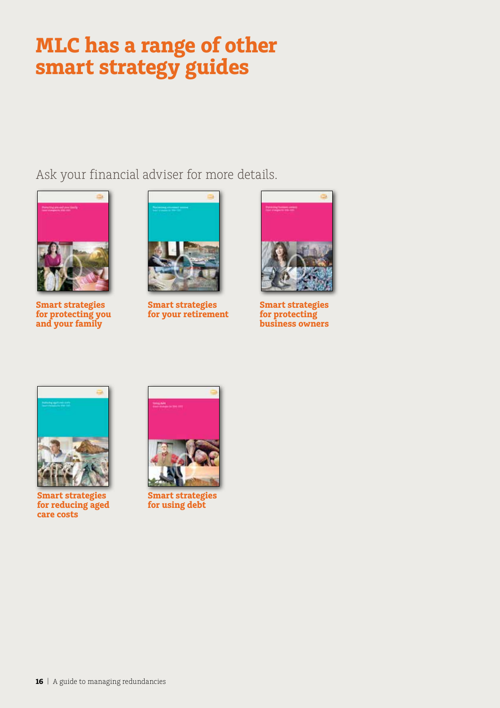# **MLC has a range of other smart strategy guides**

Ask your financial adviser for more details.



**Smart strategies for protecting you and your family**



**Smart strategies for your retirement**



**Smart strategies for protecting business owners**



**Smart strategies for reducing aged care costs**



**Smart strategies for using debt**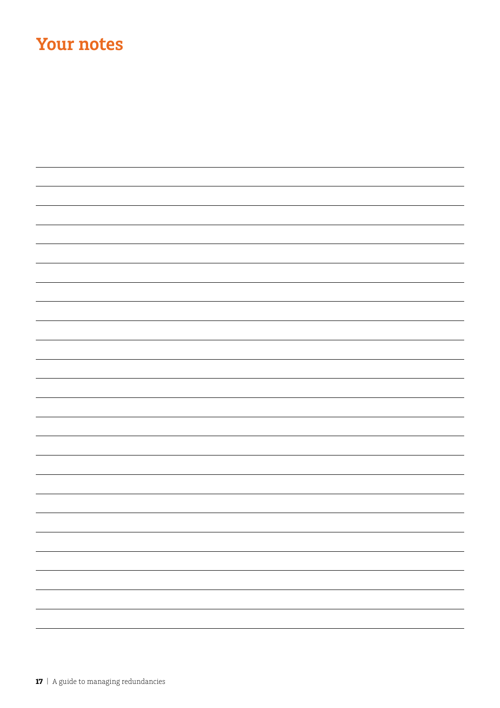## **Your notes**